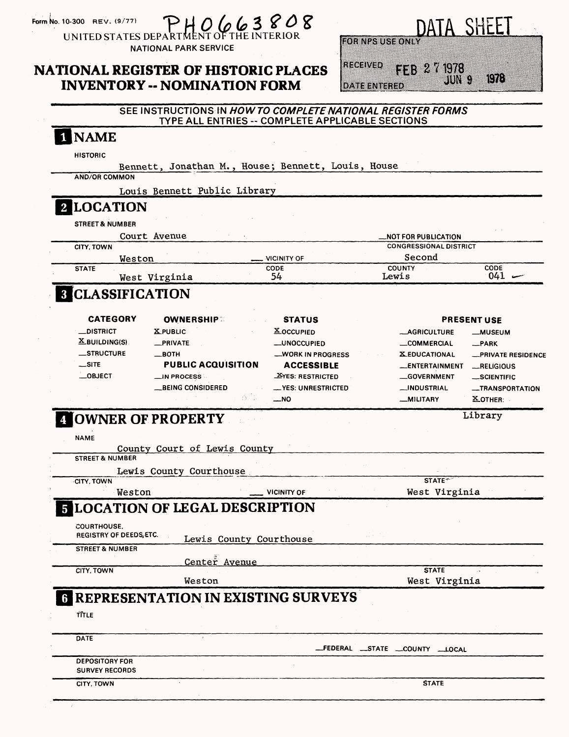|  | Form No. 10-300 REV. (9/77) |  |
|--|-----------------------------|--|

 $1663$ **UNITED STATES DEP** 

**NATIONAL PARK SERVICE** 

# NATIONAL REGISTER OF HISTORIC PLACES INVENTORY -- NOMINATION FORM

|                         |             | DATA SHEET |                |  |
|-------------------------|-------------|------------|----------------|--|
| <b>FOR NPS USE ONLY</b> |             |            |                |  |
| RECEIVED                | FF3 27 1978 |            | $\mathbb{C}$ ) |  |
| <b>DATE ENTERED</b>     |             |            |                |  |

#### SEE INSTRUCTIONS IN HOWTO COMPLETE NATIONAL REGISTER FORMS TYPE ALL ENTRIES -- COMPLETE APPLICABLE SECTIONS

#### 1 NAME **HISTORIC** Bennett, Jonathan M., House; Bennett, Louis, House AND/OR COMMON Louis Bennett Public Library **2 LOCATION** STREET & NUMBER Court Avenue —NOT FOR PUBLICATION CONGRESSIONAL DISTRICT CITY, TOWN .VICINITY OF Second Weston **STATE** COUNTY CODE<br>
ewis 041 CODE 54 Lewis West Virginia **B** CLASSIFICATION CATEGORY OWNERSHIP **STATUS** PRESENT USE —DISTRICT 2LPUBLIC **X\_OCCUPIED** —AGRICULTURE —MUSEUM X-BUILDING(S) —PRIVATE —UNOCCUPIED —COMMERCIAL —PARK —STRUCTURE —BOTH —WORK IN PROGRESS X-EDUCATIONAL —PRIVATE RESIDENCE **AUBLIC ACQUISITION ACCESSIBLE** —ENTERTAINMENT —RELIGIOUS —OBJECT \_ IN PROCESS **EYES: RESTRICTED** \_ GOVERNMENT —SCIENTIFIC —BEING CONSIDERED —YES: UNRESTRICTED —INDUSTRIAL —TRANSPORTATION —NO —MILITARY X.OTHER: OWNER OF PROPERTY Library NAME County Court of Lewis County STREET & NUMBER Lewis County Courthouse CITY. TOWN  $STATE<sup>+</sup>$ Weston VICINITY OF West Virginia LOCATION OF LEGAL DESCRIPTION COURTHOUSE. REGISTRY OF DEEDS,ETC. Lewis County Courthouse STREET & NUMBER Center Avenue CITY. TOWN **STATE** Weston West Virginia **6 REPRESENTATION IN EXISTING SURVEYS** ffTLE **DATE** FEDERAL —STATE \_COUNTY —LOCAL **DEPOSITORY FOR SURVEY RECORDS** CITY, TOWN STATE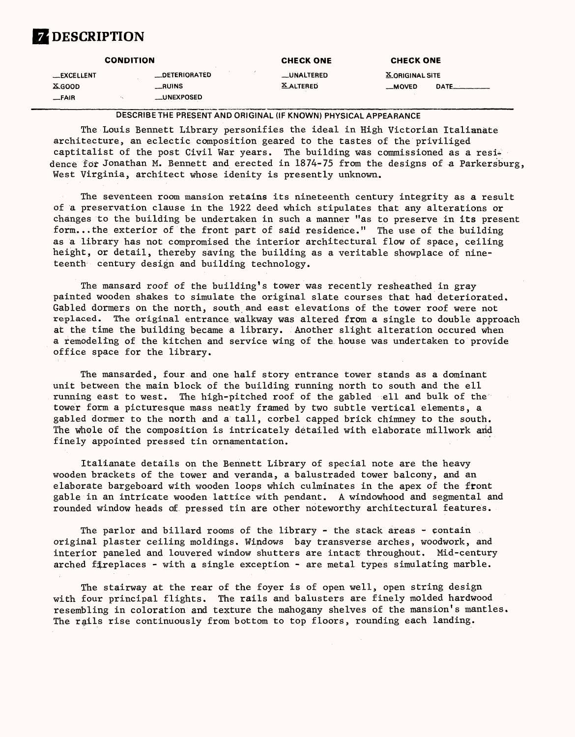# **Z** DESCRIPTION

| <b>CONDITION</b>    |                      | <b>CHECK ONE</b> | <b>CHECK ONE</b> |                 |            |
|---------------------|----------------------|------------------|------------------|-----------------|------------|
| __EXCELLENT         | <b>_DETERIORATED</b> |                  | __UNALTERED      | X ORIGINAL SITE |            |
| $X$ <sub>GOOD</sub> | __RUINS              |                  | <b>XALTERED</b>  | <b>MOVED</b>    | DATE______ |
| $-FAIR$             | __UNEXPOSED          |                  |                  |                 |            |

DESCRIBE THE PRESENT AND ORIGINAL (IF KNOWN) PHYSICAL APPEARANCE

The Louis Bennett Library personifies the ideal in High Victorian Italianate architecture, an eclectic composition geared to the tastes of the priviliged captitalist of the post Civil War years. The building was commissioned as a residence for Jonathan M. Bennett and erected in 1874-75 from the designs of a Parkersburg, West Virginia, architect whose idenity is presently unknown.

The seventeen room mansion retains its nineteenth century integrity as a result of a preservation clause in the 1922 deed which stipulates that any alterations or changes to the building be undertaken in such a manner "as to preserve in its present form. ..the exterior of the front part of said residence." The use of the building as a library has not compromised the interior architectural flow of space, ceiling height, or detail, thereby saving the building as a veritable showplace of nineteenth century design and building technology.

The mansard roof of the building's tower was recently resheathed in gray painted wooden shakes to simulate the original slate courses that had deteriorated. Gabled dormers on the north, south and east elevations of the tower roof were not replaced. The original entrance walkway was altered from a single to double approach at the time the building became a library. Another slight alteration occured when a remodeling of the kitchen and service wing of the house was undertaken to provide office space for the library.

The mansarded, four and one half story entrance tower stands as a dominant unit between the main block of the building running north to south and the ell running east to west. The high-pitched roof of the gabled ell and bulk of the tower form a picturesque mass neatly framed by two subtle vertical elements, a gabled dormer to the north and a tall, corbel capped brick chimney to the south. The whole of the composition is intricately detailed with elaborate millwork and finely appointed pressed tin ornamentation.

Italianate details on the Bennett Library of special note are the heavy wooden brackets of the tower and veranda, a balustraded tower balcony, and an elaborate bargeboard with wooden loops which culminates in the apex of the front gable in an intricate wooden lattice with pendant. A windowhood and segmental and rounded window heads of pressed tin are other noteworthy architectural features.

The parlor and billard rooms of the library - the stack areas - contain original plaster ceiling moldings. Windows bay transverse arches, woodwork, and interior paneled and louvered window shutters are intact throughout. Mid-century arched fireplaces - with a single exception - are metal types simulating marble.

The stairway at the rear of the foyer is of open well, open string design with four principal flights. The rails and balusters are finely molded hardwood resembling in coloration and texture the mahogany shelves of the mansion's mantles. The rails rise continuously from bottom to top floors, rounding each landing.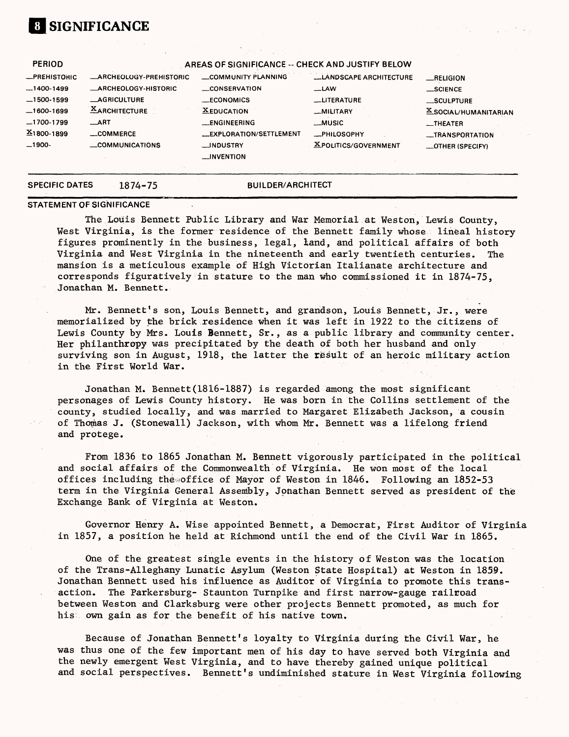# **[I SIGNIFICANCE**

| <b>AGRICULTURE</b><br><b>XARCHITECTURE</b><br>$-1700-1799$<br>$\_$ ART<br>$X$ 1800-1899<br>COMMERCE<br>$-1900-$ | 1874-75                       | <b>BUILDER/ARCHITECT</b>                                               |                                            |                                             |
|-----------------------------------------------------------------------------------------------------------------|-------------------------------|------------------------------------------------------------------------|--------------------------------------------|---------------------------------------------|
| $-1400-1499$<br>$-1500-1599$<br>$-1600-1699$                                                                    | COMMUNICATIONS                | __EXPLORATION/SETTLEMENT<br>__INDUSTRY<br>$\equiv$ INVENTION           | -PHILOSOPHY<br><b>XPOLITICS/GOVERNMENT</b> | -TRANSPORTATION<br><b>_OTHER (SPECIFY)</b>  |
|                                                                                                                 |                               | <b>XEDUCATION</b><br>__ENGINEERING                                     | _MILITARY<br><b>__MUSIC</b>                | <b>X_SOCIAL/HUMANITARIAN</b><br>$-$ THEATER |
|                                                                                                                 | _ARCHEOLOGY-HISTORIC          | CONSERVATION<br><b>LECONOMICS</b>                                      | —LAW<br><b>LLITERATURE</b>                 | $\_$ SCIENCE<br>_SCULPTURE                  |
| <b>PERIOD</b><br><b>_PREHISTORIC</b>                                                                            | <b>ARCHEOLOGY-PREHISTORIC</b> | AREAS OF SIGNIFICANCE -- CHECK AND JUSTIFY BELOW<br>COMMUNITY PLANNING | <b>LANDSCAPE ARCHITECTURE</b>              | RELIGION                                    |

#### **STATEMENT OF SIGNIFICANCE**

The Louis Bennett Public Library and War Memorial at Weston, Lewis County, West Virginia, is the former residence of the Bennett family whose lineal history figures prominently in the business, legal, land, and political affairs of both Virginia and West Virginia in the nineteenth and early twentieth centuries. The mansion is a meticulous example of High Victorian Italianate architecture and corresponds figuratively in stature to the man who commissioned it in 1874-75, Jonathan M. Bennett.

Mr. Bennett's son, Louis Bennett, and grandson, Louis Bennett, Jr., were memorialized by the brick residence when it was left in 1922 to the citizens of Lewis County by Mrs. Louis Bennett, Sr., as a public library and community center. Her philanthropy was precipitated by the death of both her husband and only surviving son in August, 1918, the latter the result of an heroic military action in the First World War.

Jonathan M. Bennett(1816-1887) is regarded among the most significant personages of Lewis County history. He was born in the Collins settlement of the county, studied locally, and was married to Margaret Elizabeth Jackson, a cousin of Thomas J. (Stonewall) Jackson, with whom Mr, Bennett was a lifelong friend and protege.

From 1836 to 1865 Jonathan M. Bennett vigorously participated in the political and social affairs of the Commonwealth of Virginia. He won most of the local offices including the office of Mayor of Weston in  $1846$ . Following an  $1852-53$ term in the Virginia General Assembly, Jonathan Bennett served as president of the Exchange Bank of Virginia at Weston.

Governor Henry A. Wise appointed Bennett, a Democrat, First Auditor of Virginia in 1857, a position he held at Richmond until the end of the Civil War in 1865.

One of the greatest single events in the history of Weston was the location of the Trans-Alleghany Lunatic Asylum (Weston State Hospital) at Weston in 1855. Jonathan Bennett used his influence as Auditor of Virginia to promote this transaction. The Parkersburg- Staunton Turnpike and first narrow-gauge railroad between Weston and Clarksburg were other projects Bennett promoted, as much for his own gain as for the benefit of his native town.

Because of Jonathan Bennett's loyalty to Virginia during the Civil War, he was thus one of the few important men of his day to have served both Virginia and the newly emergent West Virginia, and to have thereby gained unique political and social perspectives. Bennett's undiminished stature in West Virginia following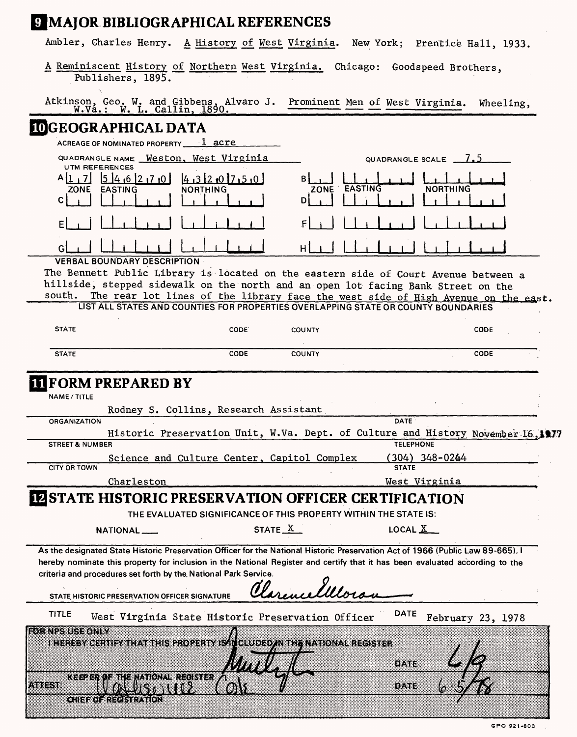# **|MAJOR BIBLIOGRAPHICAL REFERENCES**

Ambler, Charles Henry. A History of West Virginia. New York; Prentice Hall, 1933.

| A Reminiscent History of Northern West Virginia. Chicago: Goodspeed Brothers, |  |  |  |
|-------------------------------------------------------------------------------|--|--|--|
| Publishers, 1895.                                                             |  |  |  |

| Atkinson, Geo. W. and Gibbens, Alvaro J. Prominent Men of West Virginia. Wheeling,<br>W.Va.: W. L. Callin, 1890. |  |
|------------------------------------------------------------------------------------------------------------------|--|
|                                                                                                                  |  |

### **GEOGRAPHICAL DATA**

| ACREAGE OF NOMINATED PROPERTY 1 acre                                                        |                                                        |
|---------------------------------------------------------------------------------------------|--------------------------------------------------------|
| QUADRANGLE NAME _ Weston, West Virginia<br><b>UTM REFERENCES</b>                            | QUADRANGLE SCALE $-7.5$                                |
| 14,6<br>12, 7, 0<br>4.312.017.5.0<br><b>NORTHING</b><br><b>ZONE</b><br><b>EASTING</b><br>C. | в.<br><b>EASTING</b><br><b>NORTHING</b><br><b>ZONE</b> |
| F                                                                                           |                                                        |
|                                                                                             |                                                        |
| <b>VERBAL BOUNDARY DESCRIPTION</b>                                                          |                                                        |

The Bennett Public Library is located on the eastern side of Court Avenue between a hillside, stepped sidewalk on the north and an open lot facing Bank Street on the south. The rear lot lines of the library face the west side of High Avenue on the east. LIST ALL STATES AND COUNTIES FOR PROPERTIES OVERLAPPING STATE OR COUNTY BOUNDARIES

**STATE CODE COUNTY CODE STATE CODE COUNTY CODE**

### **FORM PREPARED BY**

**NAME/TITLE**

|                                                             |             | Rodney S. Collins, Research Assistant                            |         |  |                       |                |                                                                                 |  |
|-------------------------------------------------------------|-------------|------------------------------------------------------------------|---------|--|-----------------------|----------------|---------------------------------------------------------------------------------|--|
| <b>ORGANIZATION</b>                                         |             |                                                                  |         |  | <b>DATE</b>           |                |                                                                                 |  |
|                                                             |             |                                                                  |         |  |                       |                | Historic Preservation Unit, W.Va. Dept. of Culture and History November 16,1977 |  |
| <b>STREET &amp; NUMBER</b>                                  |             |                                                                  |         |  | <b>TELEPHONE</b>      |                |                                                                                 |  |
|                                                             |             | Science and Culture Center, Capitol Complex                      |         |  |                       | (304) 348-0244 |                                                                                 |  |
| <b>CITY OR TOWN</b>                                         |             |                                                                  |         |  | <b>STATE</b>          |                |                                                                                 |  |
|                                                             | Charleston  |                                                                  |         |  |                       | West Virginia  |                                                                                 |  |
| <b>IZ STATE HISTORIC PRESERVATION OFFICER CERTIFICATION</b> |             |                                                                  |         |  |                       |                |                                                                                 |  |
|                                                             |             | THE EVALUATED SIGNIFICANCE OF THIS PROPERTY WITHIN THE STATE IS: |         |  |                       |                |                                                                                 |  |
|                                                             | NATIONAL __ |                                                                  | STATE X |  | LOCAL $\underline{X}$ |                |                                                                                 |  |

**As the designated State Historic Preservation Officer for the National Historic Preservation Act of 1966 (Public Law 89-665), I hereby nominate this property for inclusion in the National Register and certify that it has been evaluated according to the criteria and procedures set forth by the, National Park Service.**

|              |                        | STATE HISTORIC PRESERVATION OFFICER SIGNATURE                                                                  |             |                   |  |  |
|--------------|------------------------|----------------------------------------------------------------------------------------------------------------|-------------|-------------------|--|--|
|              | <b>TITLE</b>           | West Virginia State Historic Preservation Officer                                                              | <b>DATE</b> | February 23, 1978 |  |  |
|              | <b>EORNES USE ONLY</b> | i ing termoefinisten mit termisten van de staat van de van de van de van de van de van de van de van de van de | ÐAIE        |                   |  |  |
| <b>Maita</b> |                        | KEEPER OF THE NATIONAL REGISTER<br>Z.                                                                          | 02.YEZ      |                   |  |  |
|              |                        | CHIEFOLATCATRATON                                                                                              |             |                   |  |  |

**GPO 921-803**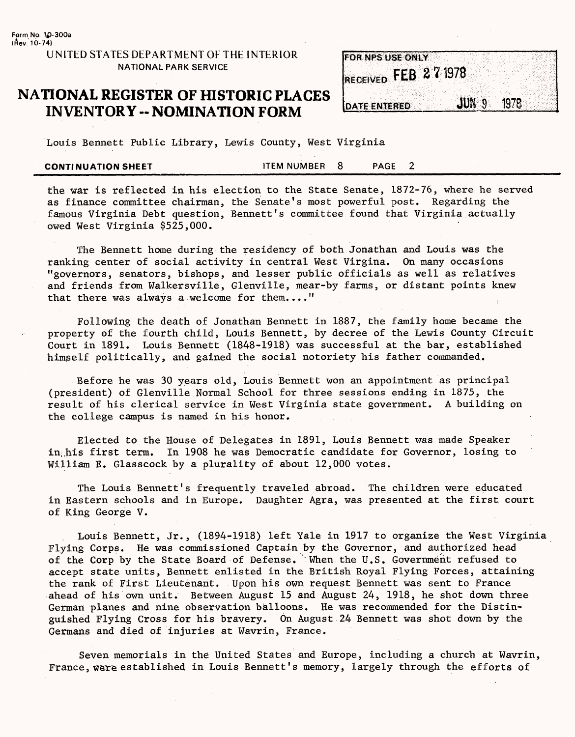#### **UNITED STATES DEPARTMENT OF THE INTERIOR NATIONAL PARK SERVICE** *^^^\$\$\$\$%®\$.*

#### **NATIONAL REGISTER OF HISTORIC PLACES INVENTORY - NOMINATION FORM**

|                     | <b>FOR NPS USE ONLY</b> |                  |      |
|---------------------|-------------------------|------------------|------|
|                     |                         |                  |      |
|                     | RECEIVED FEB 271978     |                  |      |
|                     |                         |                  |      |
| <b>DATE ENTERED</b> |                         | JUN <sub>9</sub> | 1978 |

Louis Bennett Public Library, Lewis County, West Virginia

**CONTINUATION SHEET** FILM NUMBER 8 PAGE 2

the war is reflected in his election to the State Senate, 1872-76, where he served as finance committee chairman, the Senate's most powerful post. Regarding the famous Virginia Debt question, Bennett's committee found that Virginia actually owed West Virginia \$525,000.

The Bennett home during the residency of both Jonathan and Louis was the ranking center of social activity in central West Virgina. On many occasions "governors, senators, bishops, and lesser public officials as well as relatives and friends from Walkersville, Glenville, mear-by farms, or distant points knew that there was always a welcome for them...."

Following the death of Jonathan Bennett in 1887, the family home became the property of the fourth child, Louis Bennett, by decree of the Lewis County Circuit Court in 1891. Louis Bennett (1848-1918) was successful at the bar, established himself politically, and gained the social notoriety his father commanded.

Before he was 30 years old, Louis Bennett won an appointment as principal (president) of Glenville Normal School for three sessions ending in 1875, the result of his clerical service in West Virginia state government. A building on the college campus is named in his honor.

Elected to the House of Delegates in 1891, Louis Bennett was made Speaker in;his first term. In 1908 he was Democratic candidate for Governor, losing to William E. Glasscock by a plurality of about 12,000 votes.

The Louis Bennett's frequently traveled abroad. The children were educated in Eastern schools and in Europe. Daughter Agra, was presented at the first court of King George V.

Louis Bennett, Jr., (1894-1918) left Yale in 1917 to organize the West Virginia Flying Corps. He was commissioned Captain by the Governor, and authorized head of the Corp by the State Board of Defense. When the U.S. Government refused to accept state units, Bennett enlisted in the British Royal Flying Forces, attaining the rank of First Lieutenant. Upon his own request Bennett was sent to France ahead of his own unit. Between August 15 and August 24, 1918, he shot down three German planes and nine observation balloons. He was recommended for the Distinguished Flying Cross for his bravery. On August 24 Bennett was shot down by the Germans and died of injuries at Wavrin, France.

Seven memorials in the United States and Europe, including a church at Wavrin, France, were established in Louis Bennett's memory, largely through the efforts of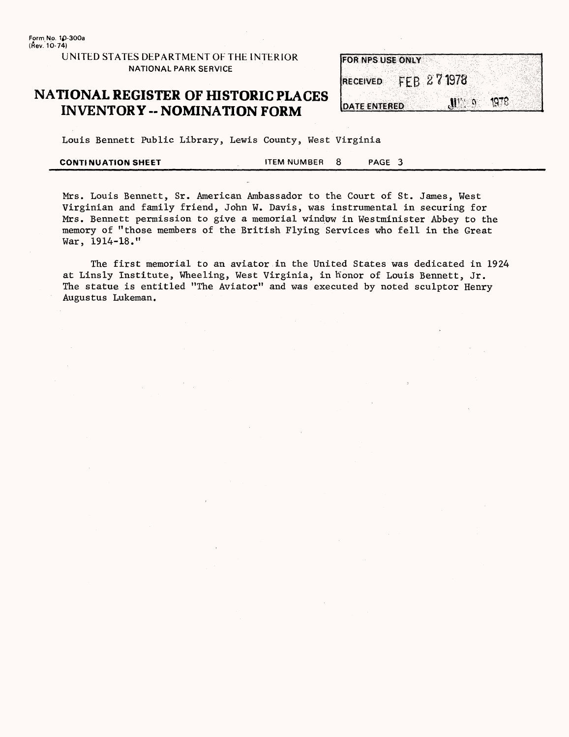UNITED STATES DEPARTMENT OF THE INTERIOR NATIONAL PARK SERVICE

### **NATIONAL REGISTER OF HISTORIC PLACES INVENTORY -- NOMINATION FORM**

|                 | <b>FOR NPS USE ONLY</b>                            |
|-----------------|----------------------------------------------------|
|                 |                                                    |
| <b>RECEIVED</b> | FEB 271978                                         |
|                 |                                                    |
|                 | 1978<br>$\mathbf{M}^{\prime\prime}$ , $\mathbf{0}$ |
| DATE ENTERED    |                                                    |

Louis Bennett Public Library, Lewis County, West Virginia

| <b>CONTINUATION SHEET</b> | <b>ITEM NUMBER</b> | <b>PAGE</b> |  |
|---------------------------|--------------------|-------------|--|
|                           |                    |             |  |

Mrs. Louis Bennett, Sr. American Ambassador to the Court of St. James, West Virginian and family friend, John W. Davis, was instrumental in securing for Mrs. Bennett permission to give a memorial window in Westminister Abbey to the memory of "those members of the British Flying Services who fell in the Great War, 1914-18."

The first memorial to an aviator in the United States was dedicated in 1924 at Linsly Institute, Wheeling, West Virginia, in honor of Louis Bennett, Jr. The statue is entitled "The Aviator" and was executed by noted sculptor Henry Augustus Lukeman.